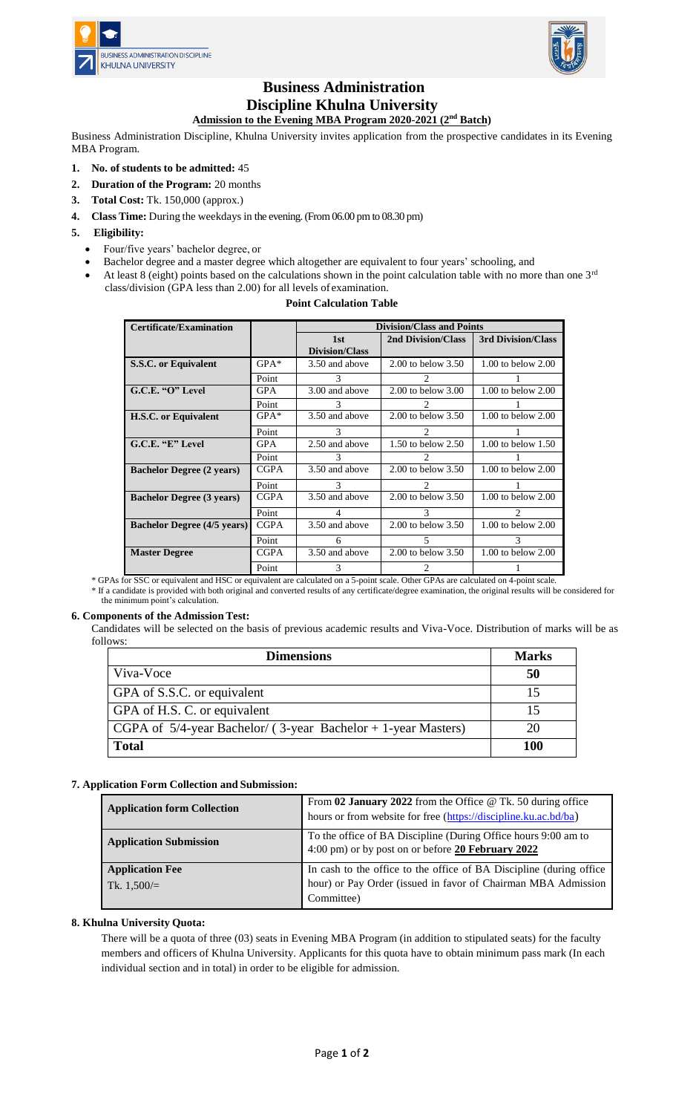



# **Business Administration Discipline Khulna University**

## **Admission to the Evening MBA Program 2020-2021 (2nd Batch)**

Business Administration Discipline, Khulna University invites application from the prospective candidates in its Evening MBA Program.

- **1. No. of students to be admitted:** 45
- **2. Duration of the Program:** 20 months
- **3. Total Cost:** Tk. 150,000 (approx.)
- **4. Class Time:** During the weekdays in the evening.(From 06.00 pm to 08.30 pm)

## **5. Eligibility:**

- Four/five years' bachelor degree, or
- Bachelor degree and a master degree which altogether are equivalent to four years' schooling, and
- At least 8 (eight) points based on the calculations shown in the point calculation table with no more than one  $3^{rd}$ class/division (GPA less than 2.00) for all levels of examination.

## **Point Calculation Table**

| <b>Certificate/Examination</b>     |             | <b>Division/Class and Points</b> |                             |                             |
|------------------------------------|-------------|----------------------------------|-----------------------------|-----------------------------|
|                                    |             | 1st                              | <b>2nd Division/Class</b>   | 3rd Division/Class          |
|                                    |             | Division/Class                   |                             |                             |
| S.S.C. or Equivalent               | $GPA*$      | 3.50 and above                   | $2.00$ to below $3.50$      | $1.00$ to below $2.00$      |
|                                    | Point       | 3                                |                             |                             |
| G.C.E. "O" Level                   | <b>GPA</b>  | 3.00 and above                   | $2.00$ to below $3.00$      | $1.00$ to below $2.00$      |
|                                    | Point       | 3                                |                             |                             |
| <b>H.S.C.</b> or Equivalent        | $GPA*$      | 3.50 and above                   | $2.00$ to below $3.50$      | $1.00$ to below $2.00$      |
|                                    | Point       | 3                                | $\mathfrak{D}$              |                             |
| G.C.E. "E" Level                   | <b>GPA</b>  | 2.50 and above                   | 1.50 to below 2.50          | $1.00$ to below $1.50$      |
|                                    | Point       | 3                                | $\mathfrak{D}$              |                             |
| <b>Bachelor Degree (2 years)</b>   | <b>CGPA</b> | 3.50 and above                   | $2.00$ to below $3.50$      | $1.00$ to below $2.00$      |
|                                    | Point       | $\mathcal{R}$                    | $\mathcal{D}_{\mathcal{L}}$ |                             |
| <b>Bachelor Degree (3 years)</b>   | <b>CGPA</b> | 3.50 and above                   | $2.00$ to below $3.50$      | $1.00$ to below $2.00$      |
|                                    | Point       | $\overline{4}$                   | 3                           | $\mathcal{D}_{\mathcal{A}}$ |
| <b>Bachelor Degree (4/5 years)</b> | <b>CGPA</b> | 3.50 and above                   | $2.00$ to below $3.50$      | $1.00$ to below $2.00$      |
|                                    | Point       | 6                                | 5                           | 3                           |
| <b>Master Degree</b>               | <b>CGPA</b> | 3.50 and above                   | $2.00$ to below $3.50$      | $1.00$ to below $2.00$      |
|                                    | Point       | 3                                | $\mathcal{D}_{\mathcal{A}}$ |                             |

\* GPAs for SSC or equivalent and HSC or equivalent are calculated on a 5-point scale. Other GPAs are calculated on 4-point scale.

\* If a candidate is provided with both original and converted results of any certificate/degree examination, the original results will be considered for the minimum point's calculation.

## **6. Components of the Admission Test:**

Candidates will be selected on the basis of previous academic results and Viva-Voce. Distribution of marks will be as follows:

| <b>Dimensions</b>                                                     | <b>Marks</b> |
|-----------------------------------------------------------------------|--------------|
| Viva-Voce                                                             | 50           |
| GPA of S.S.C. or equivalent                                           | 15           |
| GPA of H.S. C. or equivalent                                          |              |
| $\vert$ CGPA of 5/4-year Bachelor/ (3-year Bachelor + 1-year Masters) | 20           |
| <b>Total</b>                                                          | 100          |

## **7. Application Form Collection and Submission:**

| <b>Application form Collection</b>      | From 02 January 2022 from the Office $@$ Tk. 50 during office<br>hours or from website for free (https://discipline.ku.ac.bd/ba)                   |
|-----------------------------------------|----------------------------------------------------------------------------------------------------------------------------------------------------|
| <b>Application Submission</b>           | To the office of BA Discipline (During Office hours 9:00 am to 4:00 pm) or by post on or before 20 February 2022                                   |
| <b>Application Fee</b><br>Tk. $1,500/=$ | In cash to the office to the office of BA Discipline (during office<br>hour) or Pay Order (issued in favor of Chairman MBA Admission<br>Committee) |

## **8. Khulna University Quota:**

There will be a quota of three (03) seats in Evening MBA Program (in addition to stipulated seats) for the faculty members and officers of Khulna University. Applicants for this quota have to obtain minimum pass mark (In each individual section and in total) in order to be eligible for admission.